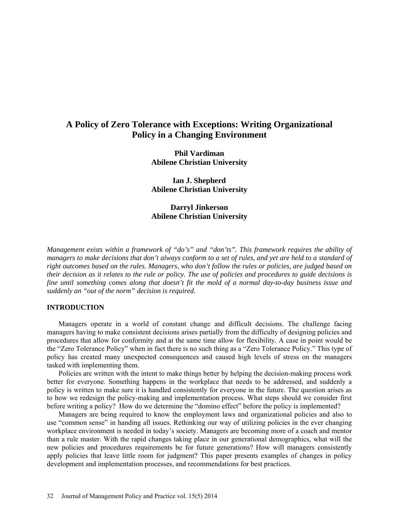### **A Policy of Zero Tolerance with Exceptions: Writing Organizational Policy in a Changing Environment**

**Phil Vardiman Abilene Christian University**

**Ian J. Shepherd Abilene Christian University**

#### **Darryl Jinkerson Abilene Christian University**

*Management exists within a framework of "do's" and "don'ts". This framework requires the ability of managers to make decisions that don't always conform to a set of rules, and yet are held to a standard of right outcomes based on the rules. Managers, who don't follow the rules or policies, are judged based on their decision as it relates to the rule or policy. The use of policies and procedures to guide decisions is fine until something comes along that doesn't fit the mold of a normal day-to-day business issue and suddenly an "out of the norm" decision is required.* 

#### **INTRODUCTION**

Managers operate in a world of constant change and difficult decisions. The challenge facing managers having to make consistent decisions arises partially from the difficulty of designing policies and procedures that allow for conformity and at the same time allow for flexibility. A case in point would be the "Zero Tolerance Policy" when in fact there is no such thing as a "Zero Tolerance Policy." This type of policy has created many unexpected consequences and caused high levels of stress on the managers tasked with implementing them.

Policies are written with the intent to make things better by helping the decision-making process work better for everyone. Something happens in the workplace that needs to be addressed, and suddenly a policy is written to make sure it is handled consistently for everyone in the future. The question arises as to how we redesign the policy-making and implementation process. What steps should we consider first before writing a policy? How do we determine the "domino effect" before the policy is implemented?

Managers are being required to know the employment laws and organizational policies and also to use "common sense" in handing all issues. Rethinking our way of utilizing policies in the ever changing workplace environment is needed in today's society. Managers are becoming more of a coach and mentor than a rule master. With the rapid changes taking place in our generational demographics, what will the new policies and procedures requirements be for future generations? How will managers consistently apply policies that leave little room for judgment? This paper presents examples of changes in policy development and implementation processes, and recommendations for best practices.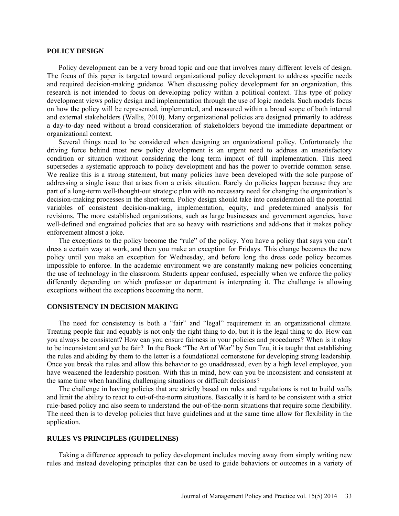#### **POLICY DESIGN**

Policy development can be a very broad topic and one that involves many different levels of design. The focus of this paper is targeted toward organizational policy development to address specific needs and required decision-making guidance. When discussing policy development for an organization, this research is not intended to focus on developing policy within a political context. This type of policy development views policy design and implementation through the use of logic models. Such models focus on how the policy will be represented, implemented, and measured within a broad scope of both internal and external stakeholders (Wallis, 2010). Many organizational policies are designed primarily to address a day-to-day need without a broad consideration of stakeholders beyond the immediate department or organizational context.

Several things need to be considered when designing an organizational policy. Unfortunately the driving force behind most new policy development is an urgent need to address an unsatisfactory condition or situation without considering the long term impact of full implementation. This need supersedes a systematic approach to policy development and has the power to override common sense. We realize this is a strong statement, but many policies have been developed with the sole purpose of addressing a single issue that arises from a crisis situation. Rarely do policies happen because they are part of a long-term well-thought-out strategic plan with no necessary need for changing the organization's decision-making processes in the short-term. Policy design should take into consideration all the potential variables of consistent decision-making, implementation, equity, and predetermined analysis for revisions. The more established organizations, such as large businesses and government agencies, have well-defined and engrained policies that are so heavy with restrictions and add-ons that it makes policy enforcement almost a joke.

The exceptions to the policy become the "rule" of the policy. You have a policy that says you can't dress a certain way at work, and then you make an exception for Fridays. This change becomes the new policy until you make an exception for Wednesday, and before long the dress code policy becomes impossible to enforce. In the academic environment we are constantly making new policies concerning the use of technology in the classroom. Students appear confused, especially when we enforce the policy differently depending on which professor or department is interpreting it. The challenge is allowing exceptions without the exceptions becoming the norm.

#### **CONSISTENCY IN DECISION MAKING**

The need for consistency is both a "fair" and "legal" requirement in an organizational climate. Treating people fair and equably is not only the right thing to do, but it is the legal thing to do. How can you always be consistent? How can you ensure fairness in your policies and procedures? When is it okay to be inconsistent and yet be fair? In the Book "The Art of War" by Sun Tzu, it is taught that establishing the rules and abiding by them to the letter is a foundational cornerstone for developing strong leadership. Once you break the rules and allow this behavior to go unaddressed, even by a high level employee, you have weakened the leadership position. With this in mind, how can you be inconsistent and consistent at the same time when handling challenging situations or difficult decisions?

The challenge in having policies that are strictly based on rules and regulations is not to build walls and limit the ability to react to out-of-the-norm situations. Basically it is hard to be consistent with a strict rule-based policy and also seem to understand the out-of-the-norm situations that require some flexibility. The need then is to develop policies that have guidelines and at the same time allow for flexibility in the application.

#### **RULES VS PRINCIPLES (GUIDELINES)**

Taking a difference approach to policy development includes moving away from simply writing new rules and instead developing principles that can be used to guide behaviors or outcomes in a variety of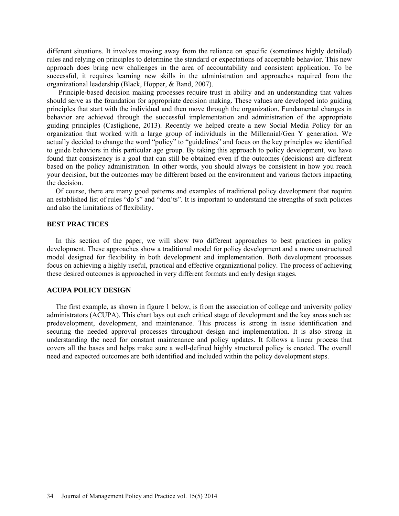different situations. It involves moving away from the reliance on specific (sometimes highly detailed) rules and relying on principles to determine the standard or expectations of acceptable behavior. This new approach does bring new challenges in the area of accountability and consistent application. To be successful, it requires learning new skills in the administration and approaches required from the organizational leadership (Black, Hopper, & Band, 2007).

Principle-based decision making processes require trust in ability and an understanding that values should serve as the foundation for appropriate decision making. These values are developed into guiding principles that start with the individual and then move through the organization. Fundamental changes in behavior are achieved through the successful implementation and administration of the appropriate guiding principles (Castiglione, 2013). Recently we helped create a new Social Media Policy for an organization that worked with a large group of individuals in the Millennial/Gen Y generation. We actually decided to change the word "policy" to "guidelines" and focus on the key principles we identified to guide behaviors in this particular age group. By taking this approach to policy development, we have found that consistency is a goal that can still be obtained even if the outcomes (decisions) are different based on the policy administration. In other words, you should always be consistent in how you reach your decision, but the outcomes may be different based on the environment and various factors impacting the decision.

Of course, there are many good patterns and examples of traditional policy development that require an established list of rules "do's" and "don'ts". It is important to understand the strengths of such policies and also the limitations of flexibility.

#### **BEST PRACTICES**

In this section of the paper, we will show two different approaches to best practices in policy development. These approaches show a traditional model for policy development and a more unstructured model designed for flexibility in both development and implementation. Both development processes focus on achieving a highly useful, practical and effective organizational policy. The process of achieving these desired outcomes is approached in very different formats and early design stages.

#### **ACUPA POLICY DESIGN**

The first example, as shown in figure 1 below, is from the association of college and university policy administrators (ACUPA). This chart lays out each critical stage of development and the key areas such as: predevelopment, development, and maintenance. This process is strong in issue identification and securing the needed approval processes throughout design and implementation. It is also strong in understanding the need for constant maintenance and policy updates. It follows a linear process that covers all the bases and helps make sure a well-defined highly structured policy is created. The overall need and expected outcomes are both identified and included within the policy development steps.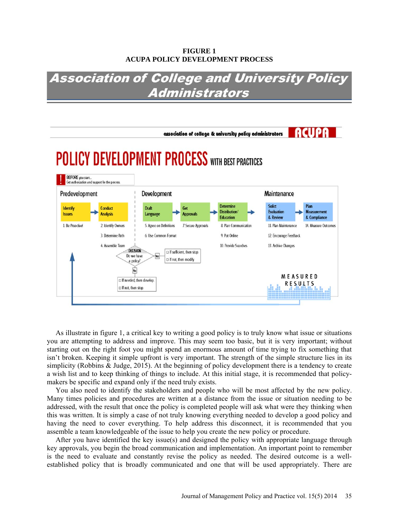#### **FIGURE 1 ACUPA POLICY DEVELOPMENT PROCESS**

# **Association of College and University Policy** Administrators



As illustrate in figure 1, a critical key to writing a good policy is to truly know what issue or situations you are attempting to address and improve. This may seem too basic, but it is very important; without starting out on the right foot you might spend an enormous amount of time trying to fix something that isn't broken. Keeping it simple upfront is very important. The strength of the simple structure lies in its simplicity (Robbins & Judge, 2015). At the beginning of policy development there is a tendency to create a wish list and to keep thinking of things to include. At this initial stage, it is recommended that policymakers be specific and expand only if the need truly exists.

You also need to identify the stakeholders and people who will be most affected by the new policy. Many times policies and procedures are written at a distance from the issue or situation needing to be addressed, with the result that once the policy is completed people will ask what were they thinking when this was written. It is simply a case of not truly knowing everything needed to develop a good policy and having the need to cover everything. To help address this disconnect, it is recommended that you assemble a team knowledgeable of the issue to help you create the new policy or procedure.

After you have identified the key issue(s) and designed the policy with appropriate language through key approvals, you begin the broad communication and implementation. An important point to remember is the need to evaluate and constantly revise the policy as needed. The desired outcome is a wellestablished policy that is broadly communicated and one that will be used appropriately. There are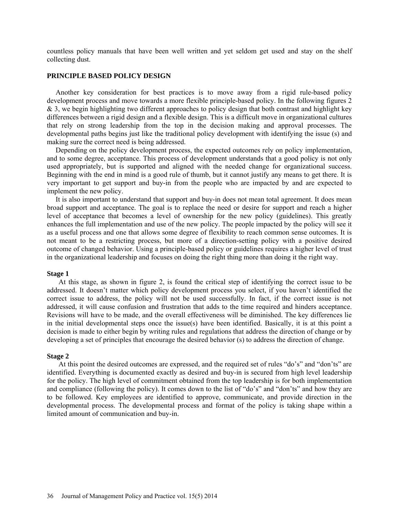countless policy manuals that have been well written and yet seldom get used and stay on the shelf collecting dust.

#### **PRINCIPLE BASED POLICY DESIGN**

Another key consideration for best practices is to move away from a rigid rule-based policy development process and move towards a more flexible principle-based policy. In the following figures 2 & 3, we begin highlighting two different approaches to policy design that both contrast and highlight key differences between a rigid design and a flexible design. This is a difficult move in organizational cultures that rely on strong leadership from the top in the decision making and approval processes. The developmental paths begins just like the traditional policy development with identifying the issue (s) and making sure the correct need is being addressed.

Depending on the policy development process, the expected outcomes rely on policy implementation, and to some degree, acceptance. This process of development understands that a good policy is not only used appropriately, but is supported and aligned with the needed change for organizational success. Beginning with the end in mind is a good rule of thumb, but it cannot justify any means to get there. It is very important to get support and buy-in from the people who are impacted by and are expected to implement the new policy.

It is also important to understand that support and buy-in does not mean total agreement. It does mean broad support and acceptance. The goal is to replace the need or desire for support and reach a higher level of acceptance that becomes a level of ownership for the new policy (guidelines). This greatly enhances the full implementation and use of the new policy. The people impacted by the policy will see it as a useful process and one that allows some degree of flexibility to reach common sense outcomes. It is not meant to be a restricting process, but more of a direction-setting policy with a positive desired outcome of changed behavior. Using a principle-based policy or guidelines requires a higher level of trust in the organizational leadership and focuses on doing the right thing more than doing it the right way.

#### **Stage 1**

At this stage, as shown in figure 2, is found the critical step of identifying the correct issue to be addressed. It doesn't matter which policy development process you select, if you haven't identified the correct issue to address, the policy will not be used successfully. In fact, if the correct issue is not addressed, it will cause confusion and frustration that adds to the time required and hinders acceptance. Revisions will have to be made, and the overall effectiveness will be diminished. The key differences lie in the initial developmental steps once the issue(s) have been identified. Basically, it is at this point a decision is made to either begin by writing rules and regulations that address the direction of change or by developing a set of principles that encourage the desired behavior (s) to address the direction of change.

#### **Stage 2**

At this point the desired outcomes are expressed, and the required set of rules "do's" and "don'ts" are identified. Everything is documented exactly as desired and buy-in is secured from high level leadership for the policy. The high level of commitment obtained from the top leadership is for both implementation and compliance (following the policy). It comes down to the list of "do's" and "don'ts" and how they are to be followed. Key employees are identified to approve, communicate, and provide direction in the developmental process. The developmental process and format of the policy is taking shape within a limited amount of communication and buy-in.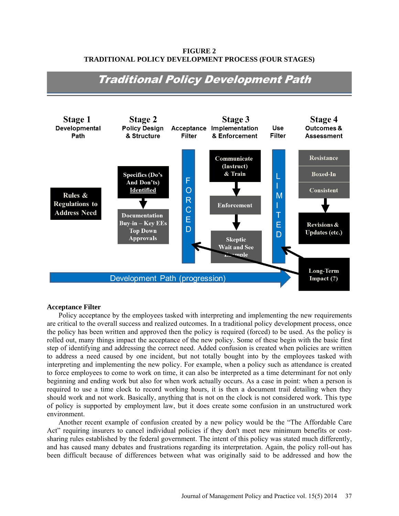**FIGURE 2 TRADITIONAL POLICY DEVELOPMENT PROCESS (FOUR STAGES)**



## **Traditional Policy Development Path**

#### **Acceptance Filter**

Policy acceptance by the employees tasked with interpreting and implementing the new requirements are critical to the overall success and realized outcomes. In a traditional policy development process, once the policy has been written and approved then the policy is required (forced) to be used. As the policy is rolled out, many things impact the acceptance of the new policy. Some of these begin with the basic first step of identifying and addressing the correct need. Added confusion is created when policies are written to address a need caused by one incident, but not totally bought into by the employees tasked with interpreting and implementing the new policy. For example, when a policy such as attendance is created to force employees to come to work on time, it can also be interpreted as a time determinant for not only beginning and ending work but also for when work actually occurs. As a case in point: when a person is required to use a time clock to record working hours, it is then a document trail detailing when they should work and not work. Basically, anything that is not on the clock is not considered work. This type of policy is supported by employment law, but it does create some confusion in an unstructured work environment.

Another recent example of confusion created by a new policy would be the "The Affordable Care Act" requiring insurers to cancel individual policies if they don't meet new minimum benefits or costsharing rules established by the federal government. The intent of this policy was stated much differently, and has caused many debates and frustrations regarding its interpretation. Again, the policy roll-out has been difficult because of differences between what was originally said to be addressed and how the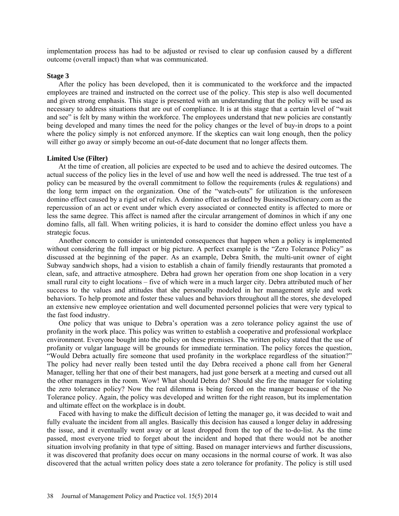implementation process has had to be adjusted or revised to clear up confusion caused by a different outcome (overall impact) than what was communicated.

#### **Stage 3**

After the policy has been developed, then it is communicated to the workforce and the impacted employees are trained and instructed on the correct use of the policy. This step is also well documented and given strong emphasis. This stage is presented with an understanding that the policy will be used as necessary to address situations that are out of compliance. It is at this stage that a certain level of "wait and see" is felt by many within the workforce. The employees understand that new policies are constantly being developed and many times the need for the policy changes or the level of buy-in drops to a point where the policy simply is not enforced anymore. If the skeptics can wait long enough, then the policy will either go away or simply become an out-of-date document that no longer affects them.

#### **Limited Use (Filter)**

At the time of creation, all policies are expected to be used and to achieve the desired outcomes. The actual success of the policy lies in the level of use and how well the need is addressed. The true test of a policy can be measured by the overall commitment to follow the requirements (rules & regulations) and the long term impact on the organization. One of the "watch-outs" for utilization is the unforeseen domino effect caused by a rigid set of rules. A domino effect as defined by BusinessDictionary.com as the repercussion of an act or event under which every associated or connected entity is affected to more or less the same degree. This affect is named after the circular arrangement of dominos in which if any one domino falls, all fall. When writing policies, it is hard to consider the domino effect unless you have a strategic focus.

Another concern to consider is unintended consequences that happen when a policy is implemented without considering the full impact or big picture. A perfect example is the "Zero Tolerance Policy" as discussed at the beginning of the paper. As an example, Debra Smith, the multi-unit owner of eight Subway sandwich shops, had a vision to establish a chain of family friendly restaurants that promoted a clean, safe, and attractive atmosphere. Debra had grown her operation from one shop location in a very small rural city to eight locations – five of which were in a much larger city. Debra attributed much of her success to the values and attitudes that she personally modeled in her management style and work behaviors. To help promote and foster these values and behaviors throughout all the stores, she developed an extensive new employee orientation and well documented personnel policies that were very typical to the fast food industry.

One policy that was unique to Debra's operation was a zero tolerance policy against the use of profanity in the work place. This policy was written to establish a cooperative and professional workplace environment. Everyone bought into the policy on these premises. The written policy stated that the use of profanity or vulgar language will be grounds for immediate termination. The policy forces the question, "Would Debra actually fire someone that used profanity in the workplace regardless of the situation?" The policy had never really been tested until the day Debra received a phone call from her General Manager, telling her that one of their best managers, had just gone berserk at a meeting and cursed out all the other managers in the room. Wow! What should Debra do? Should she fire the manager for violating the zero tolerance policy? Now the real dilemma is being forced on the manager because of the No Tolerance policy. Again, the policy was developed and written for the right reason, but its implementation and ultimate effect on the workplace is in doubt.

Faced with having to make the difficult decision of letting the manager go, it was decided to wait and fully evaluate the incident from all angles. Basically this decision has caused a longer delay in addressing the issue, and it eventually went away or at least dropped from the top of the to-do-list. As the time passed, most everyone tried to forget about the incident and hoped that there would not be another situation involving profanity in that type of sitting. Based on manager interviews and further discussions, it was discovered that profanity does occur on many occasions in the normal course of work. It was also discovered that the actual written policy does state a zero tolerance for profanity. The policy is still used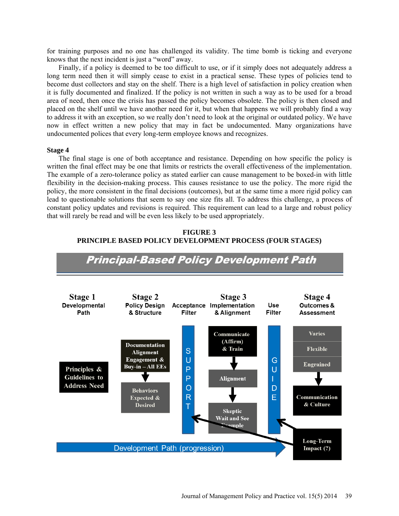for training purposes and no one has challenged its validity. The time bomb is ticking and everyone knows that the next incident is just a "word" away.

Finally, if a policy is deemed to be too difficult to use, or if it simply does not adequately address a long term need then it will simply cease to exist in a practical sense. These types of policies tend to become dust collectors and stay on the shelf. There is a high level of satisfaction in policy creation when it is fully documented and finalized. If the policy is not written in such a way as to be used for a broad area of need, then once the crisis has passed the policy becomes obsolete. The policy is then closed and placed on the shelf until we have another need for it, but when that happens we will probably find a way to address it with an exception, so we really don't need to look at the original or outdated policy. We have now in effect written a new policy that may in fact be undocumented. Many organizations have undocumented polices that every long-term employee knows and recognizes.

#### **Stage 4**

The final stage is one of both acceptance and resistance. Depending on how specific the policy is written the final effect may be one that limits or restricts the overall effectiveness of the implementation. The example of a zero-tolerance policy as stated earlier can cause management to be boxed-in with little flexibility in the decision-making process. This causes resistance to use the policy. The more rigid the policy, the more consistent in the final decisions (outcomes), but at the same time a more rigid policy can lead to questionable solutions that seem to say one size fits all. To address this challenge, a process of constant policy updates and revisions is required. This requirement can lead to a large and robust policy that will rarely be read and will be even less likely to be used appropriately.



**FIGURE 3 PRINCIPLE BASED POLICY DEVELOPMENT PROCESS (FOUR STAGES)**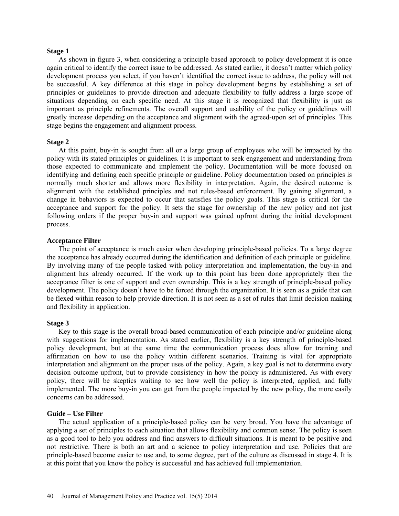#### **Stage 1**

As shown in figure 3, when considering a principle based approach to policy development it is once again critical to identify the correct issue to be addressed. As stated earlier, it doesn't matter which policy development process you select, if you haven't identified the correct issue to address, the policy will not be successful. A key difference at this stage in policy development begins by establishing a set of principles or guidelines to provide direction and adequate flexibility to fully address a large scope of situations depending on each specific need. At this stage it is recognized that flexibility is just as important as principle refinements. The overall support and usability of the policy or guidelines will greatly increase depending on the acceptance and alignment with the agreed-upon set of principles. This stage begins the engagement and alignment process.

#### **Stage 2**

At this point, buy-in is sought from all or a large group of employees who will be impacted by the policy with its stated principles or guidelines. It is important to seek engagement and understanding from those expected to communicate and implement the policy. Documentation will be more focused on identifying and defining each specific principle or guideline. Policy documentation based on principles is normally much shorter and allows more flexibility in interpretation. Again, the desired outcome is alignment with the established principles and not rules-based enforcement. By gaining alignment, a change in behaviors is expected to occur that satisfies the policy goals. This stage is critical for the acceptance and support for the policy. It sets the stage for ownership of the new policy and not just following orders if the proper buy-in and support was gained upfront during the initial development process.

#### **Acceptance Filter**

The point of acceptance is much easier when developing principle-based policies. To a large degree the acceptance has already occurred during the identification and definition of each principle or guideline. By involving many of the people tasked with policy interpretation and implementation, the buy-in and alignment has already occurred. If the work up to this point has been done appropriately then the acceptance filter is one of support and even ownership. This is a key strength of principle-based policy development. The policy doesn't have to be forced through the organization. It is seen as a guide that can be flexed within reason to help provide direction. It is not seen as a set of rules that limit decision making and flexibility in application.

#### **Stage 3**

Key to this stage is the overall broad-based communication of each principle and/or guideline along with suggestions for implementation. As stated earlier, flexibility is a key strength of principle-based policy development, but at the same time the communication process does allow for training and affirmation on how to use the policy within different scenarios. Training is vital for appropriate interpretation and alignment on the proper uses of the policy. Again, a key goal is not to determine every decision outcome upfront, but to provide consistency in how the policy is administered. As with every policy, there will be skeptics waiting to see how well the policy is interpreted, applied, and fully implemented. The more buy-in you can get from the people impacted by the new policy, the more easily concerns can be addressed.

#### **Guide – Use Filter**

The actual application of a principle-based policy can be very broad. You have the advantage of applying a set of principles to each situation that allows flexibility and common sense. The policy is seen as a good tool to help you address and find answers to difficult situations. It is meant to be positive and not restrictive. There is both an art and a science to policy interpretation and use. Policies that are principle-based become easier to use and, to some degree, part of the culture as discussed in stage 4. It is at this point that you know the policy is successful and has achieved full implementation.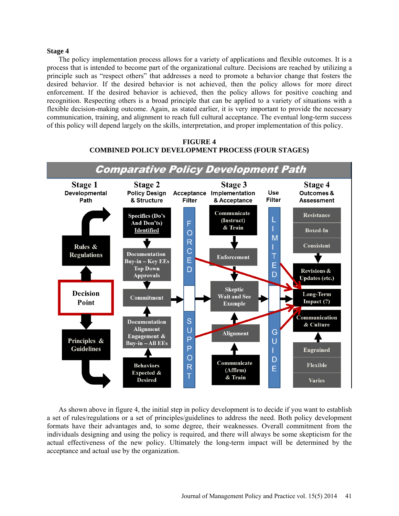#### **Stage 4**

The policy implementation process allows for a variety of applications and flexible outcomes. It is a process that is intended to become part of the organizational culture. Decisions are reached by utilizing a principle such as "respect others" that addresses a need to promote a behavior change that fosters the desired behavior. If the desired behavior is not achieved, then the policy allows for more direct enforcement. If the desired behavior is achieved, then the policy allows for positive coaching and recognition. Respecting others is a broad principle that can be applied to a variety of situations with a flexible decision-making outcome. Again, as stated earlier, it is very important to provide the necessary communication, training, and alignment to reach full cultural acceptance. The eventual long-term success of this policy will depend largely on the skills, interpretation, and proper implementation of this policy.



**FIGURE 4 COMBINED POLICY DEVELOPMENT PROCESS (FOUR STAGES)**

As shown above in figure 4, the initial step in policy development is to decide if you want to establish a set of rules/regulations or a set of principles/guidelines to address the need. Both policy development formats have their advantages and, to some degree, their weaknesses. Overall commitment from the individuals designing and using the policy is required, and there will always be some skepticism for the actual effectiveness of the new policy. Ultimately the long-term impact will be determined by the acceptance and actual use by the organization.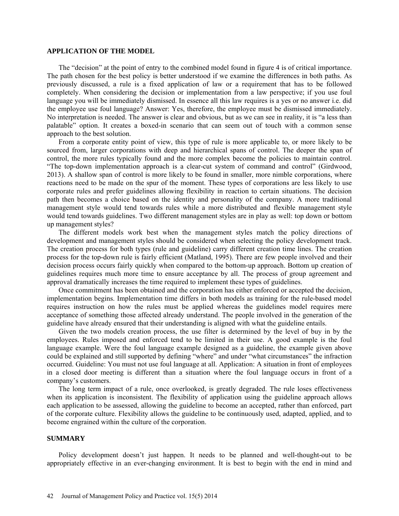#### **APPLICATION OF THE MODEL**

The "decision" at the point of entry to the combined model found in figure 4 is of critical importance. The path chosen for the best policy is better understood if we examine the differences in both paths. As previously discussed, a rule is a fixed application of law or a requirement that has to be followed completely. When considering the decision or implementation from a law perspective; if you use foul language you will be immediately dismissed. In essence all this law requires is a yes or no answer i.e. did the employee use foul language? Answer: Yes, therefore, the employee must be dismissed immediately. No interpretation is needed. The answer is clear and obvious, but as we can see in reality, it is "a less than palatable" option. It creates a boxed-in scenario that can seem out of touch with a common sense approach to the best solution.

From a corporate entity point of view, this type of rule is more applicable to, or more likely to be sourced from, larger corporations with deep and hierarchical spans of control. The deeper the span of control, the more rules typically found and the more complex become the policies to maintain control. "The top-down implementation approach is a clear-cut system of command and control" (Girdwood, 2013). A shallow span of control is more likely to be found in smaller, more nimble corporations, where reactions need to be made on the spur of the moment. These types of corporations are less likely to use corporate rules and prefer guidelines allowing flexibility in reaction to certain situations. The decision path then becomes a choice based on the identity and personality of the company. A more traditional management style would tend towards rules while a more distributed and flexible management style would tend towards guidelines. Two different management styles are in play as well: top down or bottom up management styles?

The different models work best when the management styles match the policy directions of development and management styles should be considered when selecting the policy development track. The creation process for both types (rule and guideline) carry different creation time lines. The creation process for the top-down rule is fairly efficient (Matland, 1995). There are few people involved and their decision process occurs fairly quickly when compared to the bottom-up approach. Bottom up creation of guidelines requires much more time to ensure acceptance by all. The process of group agreement and approval dramatically increases the time required to implement these types of guidelines.

Once commitment has been obtained and the corporation has either enforced or accepted the decision, implementation begins. Implementation time differs in both models as training for the rule-based model requires instruction on how the rules must be applied whereas the guidelines model requires mere acceptance of something those affected already understand. The people involved in the generation of the guideline have already ensured that their understanding is aligned with what the guideline entails.

Given the two models creation process, the use filter is determined by the level of buy in by the employees. Rules imposed and enforced tend to be limited in their use. A good example is the foul language example. Were the foul language example designed as a guideline, the example given above could be explained and still supported by defining "where" and under "what circumstances" the infraction occurred. Guideline: You must not use foul language at all. Application: A situation in front of employees in a closed door meeting is different than a situation where the foul language occurs in front of a company's customers.

The long term impact of a rule, once overlooked, is greatly degraded. The rule loses effectiveness when its application is inconsistent. The flexibility of application using the guideline approach allows each application to be assessed, allowing the guideline to become an accepted, rather than enforced, part of the corporate culture. Flexibility allows the guideline to be continuously used, adapted, applied, and to become engrained within the culture of the corporation.

#### **SUMMARY**

Policy development doesn't just happen. It needs to be planned and well-thought-out to be appropriately effective in an ever-changing environment. It is best to begin with the end in mind and